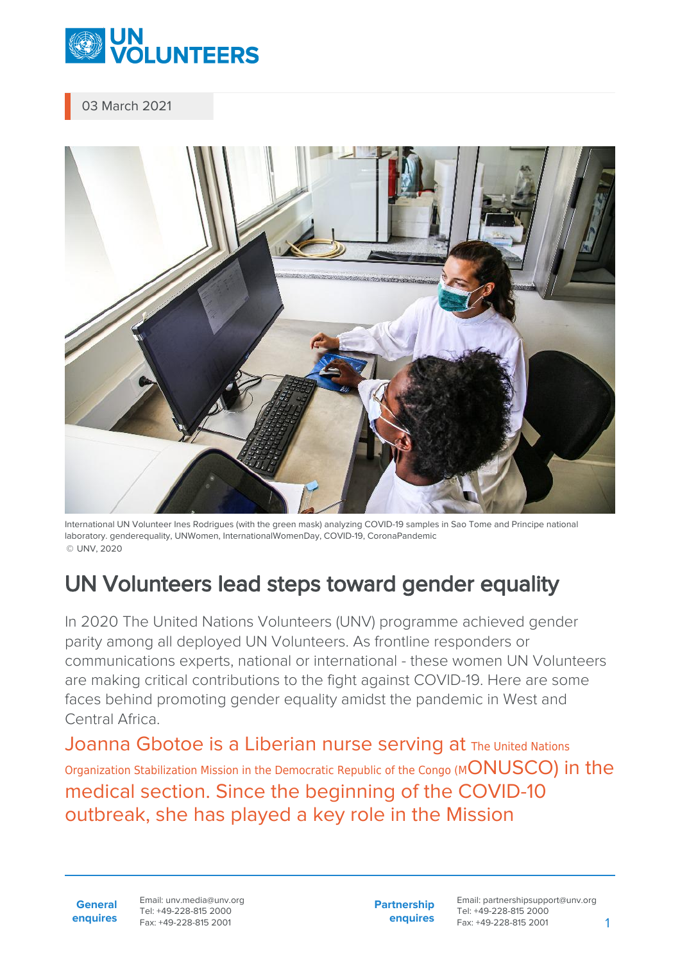

03 March 2021



International UN Volunteer Ines Rodrigues (with the green mask) analyzing COVID-19 samples in Sao Tome and Principe national laboratory. genderequality, UNWomen, InternationalWomenDay, COVID-19, CoronaPandemic © UNV, 2020

## UN Volunteers lead steps toward gender equality

In 2020 The United Nations Volunteers (UNV) programme achieved gender parity among all deployed UN Volunteers. As frontline responders or communications experts, national or international - these women UN Volunteers are making critical contributions to the fight against COVID-19. Here are some faces behind promoting gender equality amidst the pandemic in West and Central Africa.

Joanna Gbotoe is a Liberian nurse serving at The United Nations Organization Stabilization Mission in the Democratic Republic of the Congo (MONUSCO) in the medical section. Since the beginning of the COVID-10 outbreak, she has played a key role in the Mission

**General enquires** Email: unv.media@unv.org Tel: +49-228-815 2000 Fax: +49-228-815 2001

**Partnership enquires**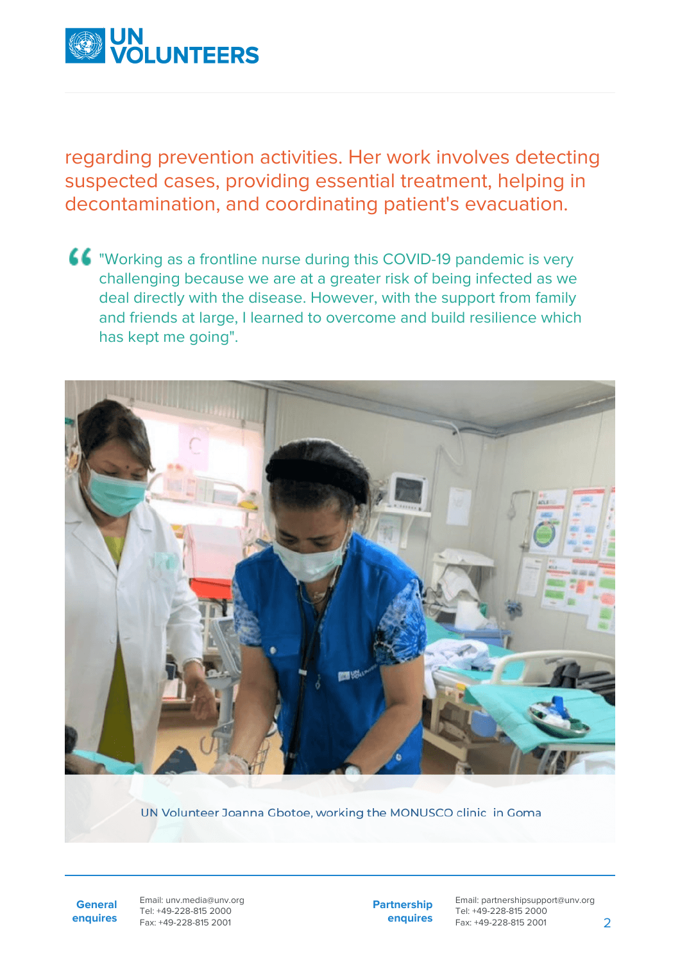

regarding prevention activities. Her work involves detecting suspected cases, providing essential treatment, helping in decontamination, and coordinating patient's evacuation.

"Working as a frontline nurse during this COVID-19 pandemic is very challenging because we are at a greater risk of being infected as we deal directly with the disease. However, with the support from family and friends at large, I learned to overcome and build resilience which has kept me going".



UN Volunteer Joanna Gbotoe, working the MONUSCO clinic in Goma

**General enquires** Email: unv.media@unv.org Tel: +49-228-815 2000 Fax: +49-228-815 2001

**Partnership enquires**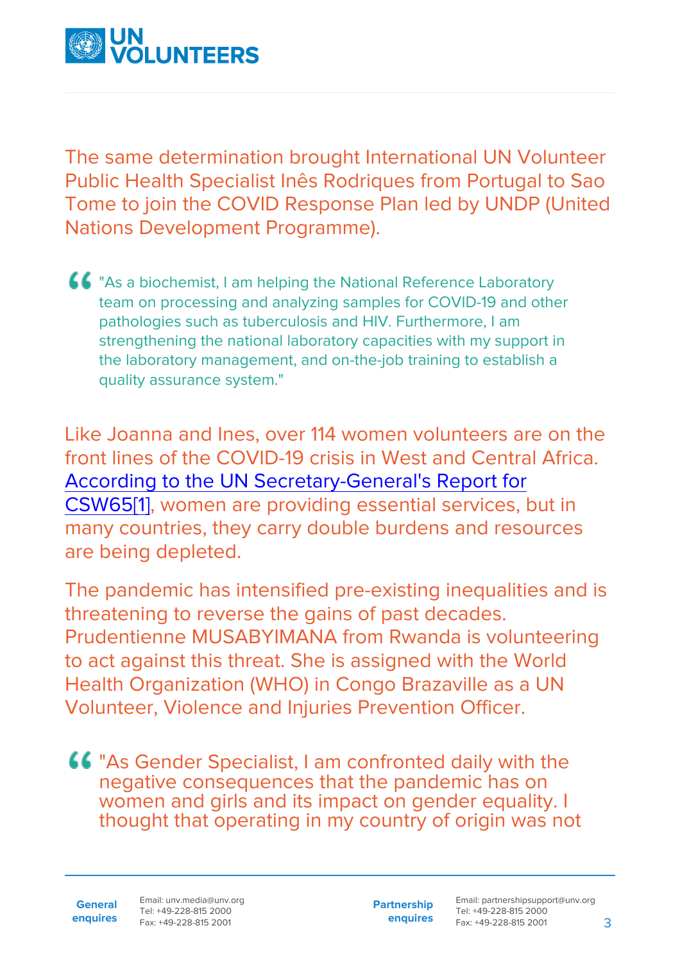

The same determination brought International UN Volunteer Public Health Specialist Inês Rodriques from Portugal to Sao Tome to join the COVID Response Plan led by UNDP (United Nations Development Programme).

**66** "As a biochemist, I am helping the National Reference Laboratory team on processing and analyzing samples for COVID-19 and other pathologies such as tuberculosis and HIV. Furthermore, I am strengthening the national laboratory capacities with my support in the laboratory management, and on-the-job training to establish a quality assurance system."

<span id="page-2-0"></span>Like Joanna and Ines, over 114 women volunteers are on the front lines of the COVID-19 crisis in West and Central Africa. [According to the UN Secretary-General's Report for](https://undocs.org/E/CN.6/2021/3) [CSW65](https://undocs.org/E/CN.6/2021/3)[\[1\],](#page-5-0) women are providing essential services, but in many countries, they carry double burdens and resources are being depleted.

The pandemic has intensified pre-existing inequalities and is threatening to reverse the gains of past decades. Prudentienne MUSABYIMANA from Rwanda is volunteering to act against this threat. She is assigned with the World Health Organization (WHO) in Congo Brazaville as a UN Volunteer, Violence and Injuries Prevention Officer.

"As Gender Specialist, I am confronted daily with the negative consequences that the pandemic has on women and girls and its impact on gender equality. I thought that operating in my country of origin was not

**General enquires** Email: unv.media@unv.org Tel: +49-228-815 2000 Fax: +49-228-815 2001

**Partnership enquires**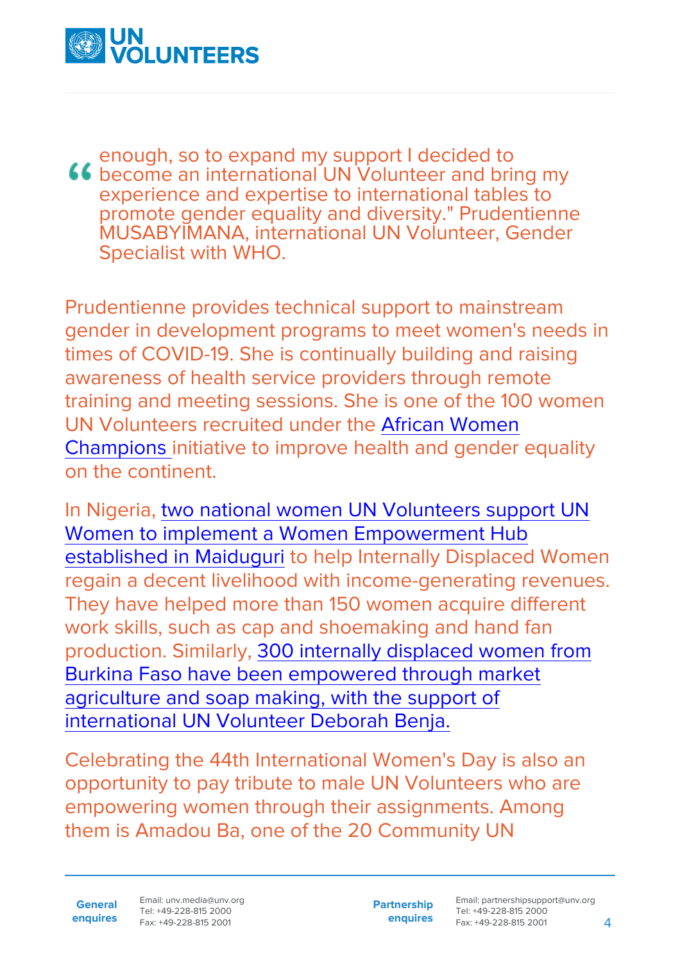

enough, so to expand my support I decided to **46** become an international UN Volunteer and bring my experience and expertise to international tables to promote gender equality and diversity." Prudentienne MUSABYIMANA, international UN Volunteer, Gender Specialist with WHO.

Prudentienne provides technical support to mainstream gender in development programs to meet women's needs in times of COVID-19. She is continually building and raising awareness of health service providers through remote training and meeting sessions. She is one of the 100 women UN Volunteers recruited under the [African Women](https://www.unv.org/Basic-Page/Now-recruiting-UN-Volunteers-Africa-Women-Health-Champions) [Champions i](https://www.unv.org/Basic-Page/Now-recruiting-UN-Volunteers-Africa-Women-Health-Champions)nitiative to improve health and gender equality on the continent.

In Nigeria, [two national women UN Volunteers support UN](https://www.youtube.com/watch?v=nYvsXqgtP88) [Women to implement a Women Empowerment Hub](https://www.youtube.com/watch?v=nYvsXqgtP88) [established in Maiduguri](https://www.youtube.com/watch?v=nYvsXqgtP88) to help Internally Displaced Women regain a decent livelihood with income-generating revenues. They have helped more than 150 women acquire different work skills, such as cap and shoemaking and hand fan production. Similarly, [300 internally displaced women from](https://www.unv.org/Success-stories/How-volunteering-can-enable-women-and-children-regain-decent-life) [Burkina Faso have been empowered through market](https://www.unv.org/Success-stories/How-volunteering-can-enable-women-and-children-regain-decent-life) [agriculture and soap making, with the support of](https://www.unv.org/Success-stories/How-volunteering-can-enable-women-and-children-regain-decent-life) [international UN Volunteer Deborah Benja.](https://www.unv.org/Success-stories/How-volunteering-can-enable-women-and-children-regain-decent-life)

Celebrating the 44th International Women's Day is also an opportunity to pay tribute to male UN Volunteers who are empowering women through their assignments. Among them is Amadou Ba, one of the 20 Community UN

**General enquires** Email: unv.media@unv.org Tel: +49-228-815 2000 Fax: +49-228-815 2001

**Partnership enquires**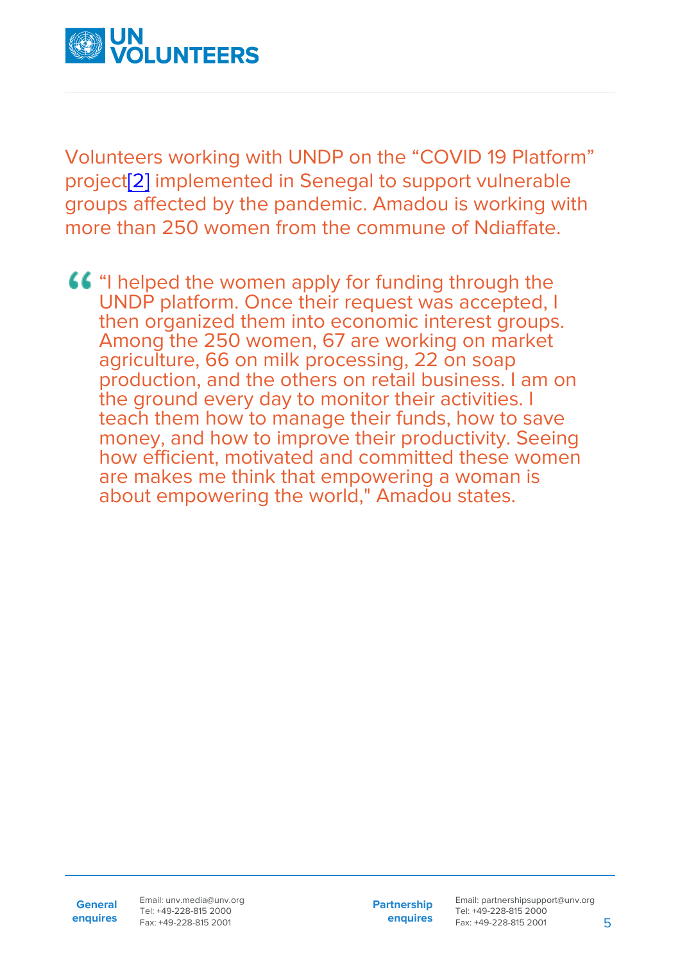

<span id="page-4-0"></span>Volunteers working with UNDP on the "COVID 19 Platform" project[\[2\]](#page-6-0) implemented in Senegal to support vulnerable groups affected by the pandemic. Amadou is working with more than 250 women from the commune of Ndiaffate.

**66** "I helped the women apply for funding through the UNDP platform. Once their request was accepted, I then organized them into economic interest groups. Among the 250 women, 67 are working on market agriculture, 66 on milk processing, 22 on soap production, and the others on retail business. I am on the ground every day to monitor their activities. I teach them how to manage their funds, how to save money, and how to improve their productivity. Seeing how efficient, motivated and committed these women are makes me think that empowering a woman is about empowering the world," Amadou states.

**Partnership enquires**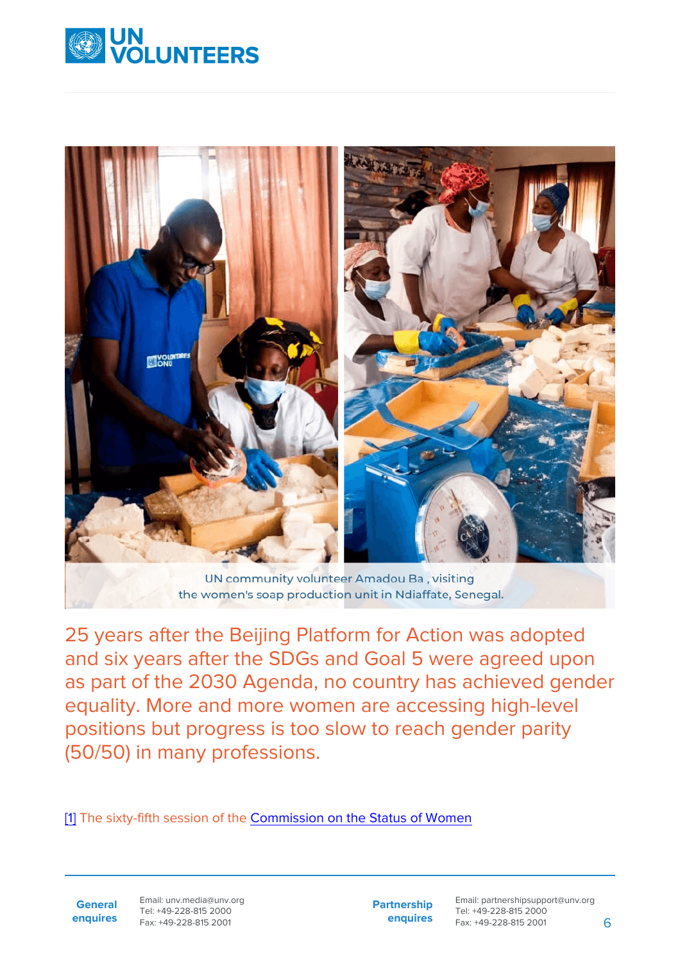



UN community volunteer Amadou Ba, visiting the women's soap production unit in Ndiaffate, Senegal.

25 years after the Beijing Platform for Action was adopted and six years after the SDGs and Goal 5 were agreed upon as part of the 2030 Agenda, no country has achieved gender equality. More and more women are accessing high-level positions but progress is too slow to reach gender parity (50/50) in many professions.

<span id="page-5-0"></span>[\[1\]](#page-2-0) The sixty-fifth session of the [Commission on the Status of Women](https://www.unwomen.org/en/csw)

**General enquires** Email: unv.media@unv.org Tel: +49-228-815 2000 Fax: +49-228-815 2001

**Partnership enquires**